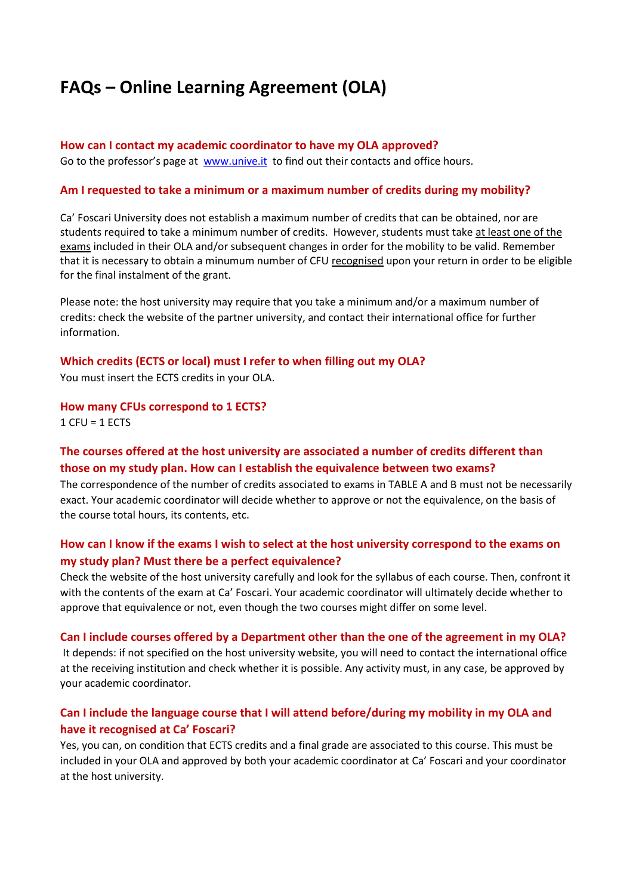# **FAQs – Online Learning Agreement (OLA)**

### **How can I contact my academic coordinator to have my OLA approved?**

Go to the professor's page at [www.unive.it](http://www.unive.it/) to find out their contacts and office hours.

### **Am I requested to take a minimum or a maximum number of credits during my mobility?**

Ca' Foscari University does not establish a maximum number of credits that can be obtained, nor are students required to take a minimum number of credits. However, students must take at least one of the exams included in their OLA and/or subsequent changes in order for the mobility to be valid. Remember that it is necessary to obtain a minumum number of CFU recognised upon your return in order to be eligible for the final instalment of the grant.

Please note: the host university may require that you take a minimum and/or a maximum number of credits: check the website of the partner university, and contact their international office for further information.

**Which credits (ECTS or local) must I refer to when filling out my OLA?** You must insert the ECTS credits in your OLA.

**How many CFUs correspond to 1 ECTS?**  $1$  CFU =  $1$  ECTS

# **The courses offered at the host university are associated a number of credits different than those on my study plan. How can I establish the equivalence between two exams?**

The correspondence of the number of credits associated to exams in TABLE A and B must not be necessarily exact. Your academic coordinator will decide whether to approve or not the equivalence, on the basis of the course total hours, its contents, etc.

# **How can I know if the exams I wish to select at the host university correspond to the exams on my study plan? Must there be a perfect equivalence?**

Check the website of the host university carefully and look for the syllabus of each course. Then, confront it with the contents of the exam at Ca' Foscari. Your academic coordinator will ultimately decide whether to approve that equivalence or not, even though the two courses might differ on some level.

#### **Can I include courses offered by a Department other than the one of the agreement in my OLA?**

It depends: if not specified on the host university website, you will need to contact the international office at the receiving institution and check whether it is possible. Any activity must, in any case, be approved by your academic coordinator.

# **Can I include the language course that I will attend before/during my mobility in my OLA and have it recognised at Ca' Foscari?**

Yes, you can, on condition that ECTS credits and a final grade are associated to this course. This must be included in your OLA and approved by both your academic coordinator at Ca' Foscari and your coordinator at the host university.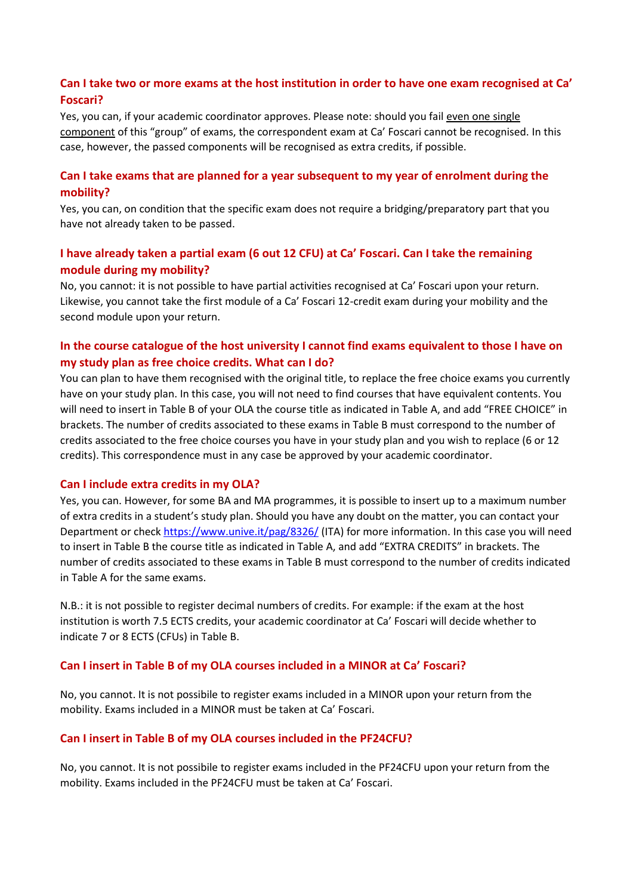# **Can I take two or more exams at the host institution in order to have one exam recognised at Ca' Foscari?**

Yes, you can, if your academic coordinator approves. Please note: should you fail even one single component of this "group" of exams, the correspondent exam at Ca' Foscari cannot be recognised. In this case, however, the passed components will be recognised as extra credits, if possible.

## **Can I take exams that are planned for a year subsequent to my year of enrolment during the mobility?**

Yes, you can, on condition that the specific exam does not require a bridging/preparatory part that you have not already taken to be passed.

# **I have already taken a partial exam (6 out 12 CFU) at Ca' Foscari. Can I take the remaining module during my mobility?**

No, you cannot: it is not possible to have partial activities recognised at Ca' Foscari upon your return. Likewise, you cannot take the first module of a Ca' Foscari 12-credit exam during your mobility and the second module upon your return.

# **In the course catalogue of the host university I cannot find exams equivalent to those I have on my study plan as free choice credits. What can I do?**

You can plan to have them recognised with the original title, to replace the free choice exams you currently have on your study plan. In this case, you will not need to find courses that have equivalent contents. You will need to insert in Table B of your OLA the course title as indicated in Table A, and add "FREE CHOICE" in brackets. The number of credits associated to these exams in Table B must correspond to the number of credits associated to the free choice courses you have in your study plan and you wish to replace (6 or 12 credits). This correspondence must in any case be approved by your academic coordinator.

#### **Can I include extra credits in my OLA?**

Yes, you can. However, for some BA and MA programmes, it is possible to insert up to a maximum number of extra credits in a student's study plan. Should you have any doubt on the matter, you can contact your Department or check<https://www.unive.it/pag/8326/> (ITA) for more information. In this case you will need to insert in Table B the course title as indicated in Table A, and add "EXTRA CREDITS" in brackets. The number of credits associated to these exams in Table B must correspond to the number of credits indicated in Table A for the same exams.

N.B.: it is not possible to register decimal numbers of credits. For example: if the exam at the host institution is worth 7.5 ECTS credits, your academic coordinator at Ca' Foscari will decide whether to indicate 7 or 8 ECTS (CFUs) in Table B.

## **Can I insert in Table B of my OLA courses included in a MINOR at Ca' Foscari?**

No, you cannot. It is not possibile to register exams included in a MINOR upon your return from the mobility. Exams included in a MINOR must be taken at Ca' Foscari.

## **Can I insert in Table B of my OLA courses included in the PF24CFU?**

No, you cannot. It is not possibile to register exams included in the PF24CFU upon your return from the mobility. Exams included in the PF24CFU must be taken at Ca' Foscari.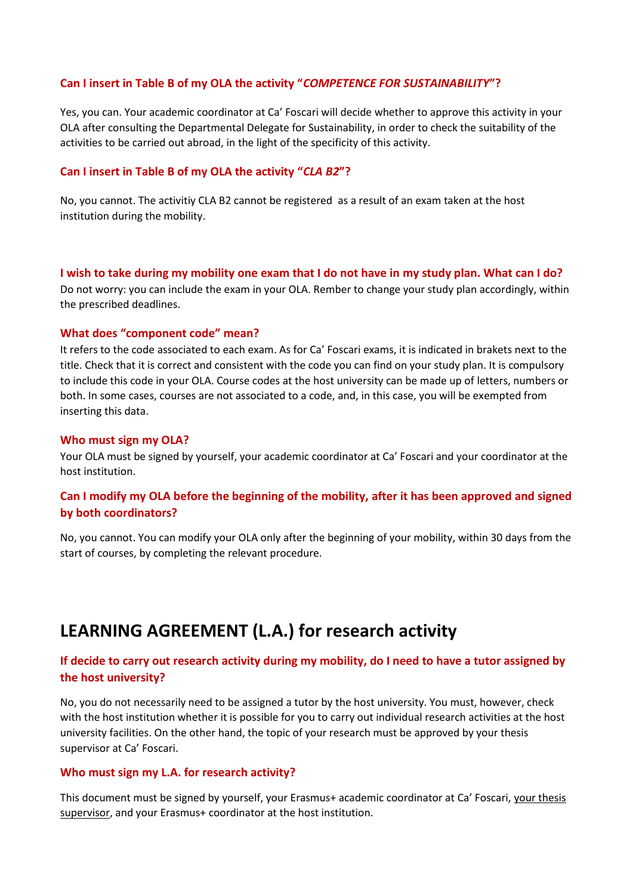## **Can I insert in Table B of my OLA the activity "***COMPETENCE FOR SUSTAINABILITY***"?**

Yes, you can. Your academic coordinator at Ca' Foscari will decide whether to approve this activity in your OLA after consulting the Departmental Delegate for Sustainability, in order to check the suitability of the activities to be carried out abroad, in the light of the specificity of this activity.

### **Can I insert in Table B of my OLA the activity "***CLA B2***"?**

No, you cannot. The activitiy CLA B2 cannot be registered as a result of an exam taken at the host institution during the mobility.

#### **I wish to take during my mobility one exam that I do not have in my study plan. What can I do?**

Do not worry: you can include the exam in your OLA. Rember to change your study plan accordingly, within the prescribed deadlines.

### **What does "component code" mean?**

It refers to the code associated to each exam. As for Ca' Foscari exams, it is indicated in brakets next to the title. Check that it is correct and consistent with the code you can find on your study plan. It is compulsory to include this code in your OLA. Course codes at the host university can be made up of letters, numbers or both. In some cases, courses are not associated to a code, and, in this case, you will be exempted from inserting this data.

#### **Who must sign my OLA?**

Your OLA must be signed by yourself, your academic coordinator at Ca' Foscari and your coordinator at the host institution.

# **Can I modify my OLA before the beginning of the mobility, after it has been approved and signed by both coordinators?**

No, you cannot. You can modify your OLA only after the beginning of your mobility, within 30 days from the start of courses, by completing the relevant procedure.

# **LEARNING AGREEMENT (L.A.) for research activity**

# **If decide to carry out research activity during my mobility, do I need to have a tutor assigned by the host university?**

No, you do not necessarily need to be assigned a tutor by the host university. You must, however, check with the host institution whether it is possible for you to carry out individual research activities at the host university facilities. On the other hand, the topic of your research must be approved by your thesis supervisor at Ca' Foscari.

### **Who must sign my L.A. for research activity?**

This document must be signed by yourself, your Erasmus+ academic coordinator at Ca' Foscari, your thesis supervisor, and your Erasmus+ coordinator at the host institution.